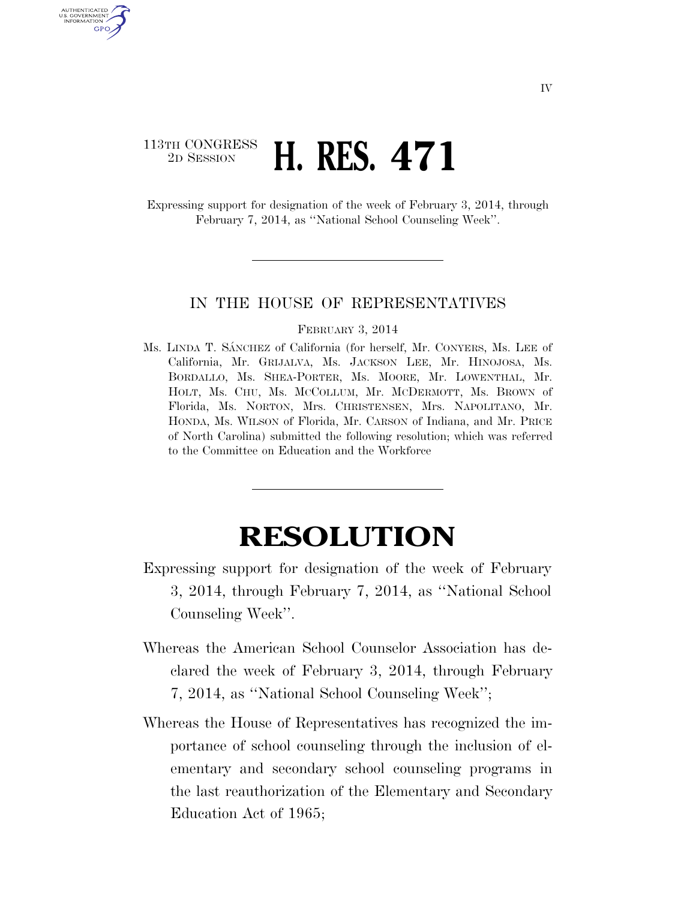## 113TH CONGRESS <sup>TH CONGRESS</sup> **H. RES. 471**

U.S. GOVERNMENT **GPO** 

> Expressing support for designation of the week of February 3, 2014, through February 7, 2014, as ''National School Counseling Week''.

## IN THE HOUSE OF REPRESENTATIVES

## FEBRUARY 3, 2014

Ms. LINDA T. SANCHEZ of California (for herself, Mr. CONYERS, Ms. LEE of California, Mr. GRIJALVA, Ms. JACKSON LEE, Mr. HINOJOSA, Ms. BORDALLO, Ms. SHEA-PORTER, Ms. MOORE, Mr. LOWENTHAL, Mr. HOLT, Ms. CHU, Ms. MCCOLLUM, Mr. MCDERMOTT, Ms. BROWN of Florida, Ms. NORTON, Mrs. CHRISTENSEN, Mrs. NAPOLITANO, Mr. HONDA, Ms. WILSON of Florida, Mr. CARSON of Indiana, and Mr. PRICE of North Carolina) submitted the following resolution; which was referred to the Committee on Education and the Workforce

## **RESOLUTION**

- Expressing support for designation of the week of February 3, 2014, through February 7, 2014, as ''National School Counseling Week''.
- Whereas the American School Counselor Association has declared the week of February 3, 2014, through February 7, 2014, as ''National School Counseling Week'';
- Whereas the House of Representatives has recognized the importance of school counseling through the inclusion of elementary and secondary school counseling programs in the last reauthorization of the Elementary and Secondary Education Act of 1965;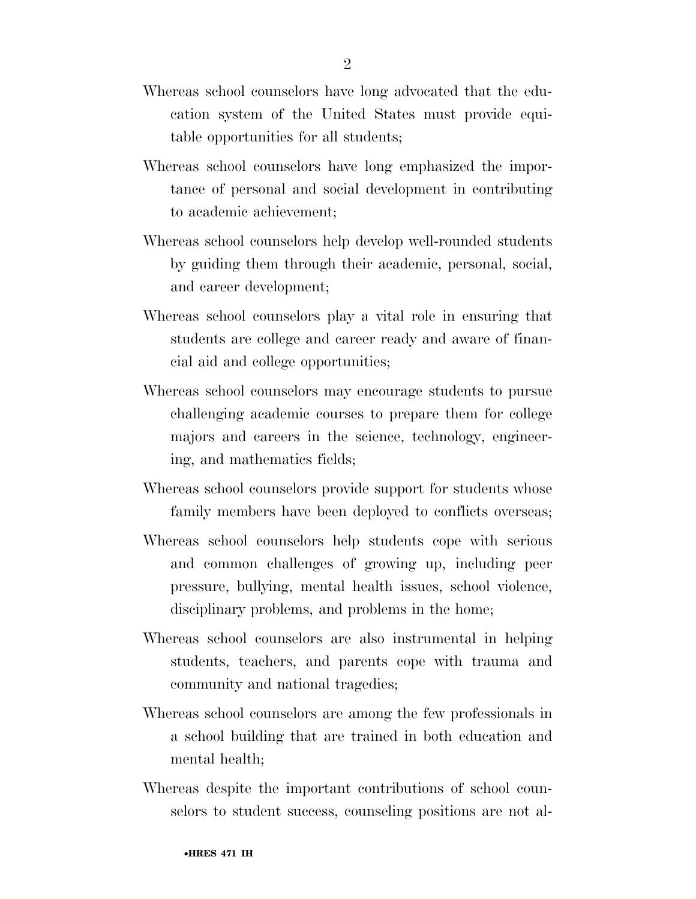- Whereas school counselors have long advocated that the education system of the United States must provide equitable opportunities for all students;
- Whereas school counselors have long emphasized the importance of personal and social development in contributing to academic achievement;
- Whereas school counselors help develop well-rounded students by guiding them through their academic, personal, social, and career development;
- Whereas school counselors play a vital role in ensuring that students are college and career ready and aware of financial aid and college opportunities;
- Whereas school counselors may encourage students to pursue challenging academic courses to prepare them for college majors and careers in the science, technology, engineering, and mathematics fields;
- Whereas school counselors provide support for students whose family members have been deployed to conflicts overseas;
- Whereas school counselors help students cope with serious and common challenges of growing up, including peer pressure, bullying, mental health issues, school violence, disciplinary problems, and problems in the home;
- Whereas school counselors are also instrumental in helping students, teachers, and parents cope with trauma and community and national tragedies;
- Whereas school counselors are among the few professionals in a school building that are trained in both education and mental health;
- Whereas despite the important contributions of school counselors to student success, counseling positions are not al-